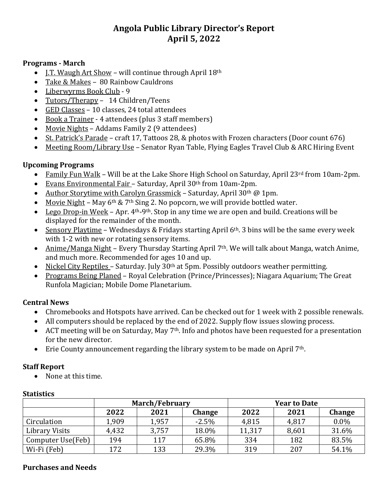# **Angola Public Library Director's Report April 5, 2022**

#### **Programs - March**

- $\bullet$  I.T. Waugh Art Show will continue through April 18<sup>th</sup>
- Take & Makes 80 Rainbow Cauldrons
- Liberwyrms Book Club 9
- Tutors/Therapy 14 Children/Teens
- GED Classes 10 classes, 24 total attendees
- Book a Trainer 4 attendees (plus 3 staff members)
- Movie Nights Addams Family 2 (9 attendees)
- St. Patrick's Parade craft 17, Tattoos 28, & photos with Frozen characters (Door count 676)
- Meeting Room/Library Use Senator Ryan Table, Flying Eagles Travel Club & ARC Hiring Event

# **Upcoming Programs**

- Family Fun Walk Will be at the Lake Shore High School on Saturday, April 23rd from 10am-2pm.
- Evans Environmental Fair Saturday, April 30th from 10am-2pm.
- Author Storytime with Carolyn Grassmick Saturday, April 30<sup>th</sup> @ 1pm.
- Movie Night May  $6<sup>th</sup>$  & 7<sup>th</sup> Sing 2. No popcorn, we will provide bottled water.
- Lego Drop-in Week Apr.  $4<sup>th</sup>-9<sup>th</sup>$ . Stop in any time we are open and build. Creations will be displayed for the remainder of the month.
- Sensory Playtime Wednesdays & Fridays starting April  $6<sup>th</sup>$ . 3 bins will be the same every week with 1-2 with new or rotating sensory items.
- Anime/Manga Night Every Thursday Starting April 7<sup>th</sup>. We will talk about Manga, watch Anime, and much more. Recommended for ages 10 and up.
- Nickel City Reptiles Saturday. July 30<sup>th</sup> at 5pm. Possibly outdoors weather permitting.
- Programs Being Planed Royal Celebration (Prince/Princesses); Niagara Aquarium; The Great Runfola Magician; Mobile Dome Planetarium.

## **Central News**

- Chromebooks and Hotspots have arrived. Can be checked out for 1 week with 2 possible renewals.
- All computers should be replaced by the end of 2022. Supply flow issues slowing process.
- ACT meeting will be on Saturday, May  $7<sup>th</sup>$ . Info and photos have been requested for a presentation for the new director.
- Erie County announcement regarding the library system to be made on April 7th.

## **Staff Report**

• None at this time.

| ouusuw            |                       |       |         |                     |       |               |  |
|-------------------|-----------------------|-------|---------|---------------------|-------|---------------|--|
|                   | <b>March/February</b> |       |         | <b>Year to Date</b> |       |               |  |
|                   | 2022                  | 2021  | Change  | 2022                | 2021  | <b>Change</b> |  |
| Circulation       | 1,909                 | 1,957 | $-2.5%$ | 4,815               | 4,817 | $0.0\%$       |  |
| Library Visits    | 4,432                 | 3,757 | 18.0%   | 11,317              | 8,601 | 31.6%         |  |
| Computer Use(Feb) | 194                   | 117   | 65.8%   | 334                 | 182   | 83.5%         |  |
| Wi-Fi (Feb)       | 172                   | 133   | 29.3%   | 319                 | 207   | 54.1%         |  |

## **Statistics**

#### **Purchases and Needs**